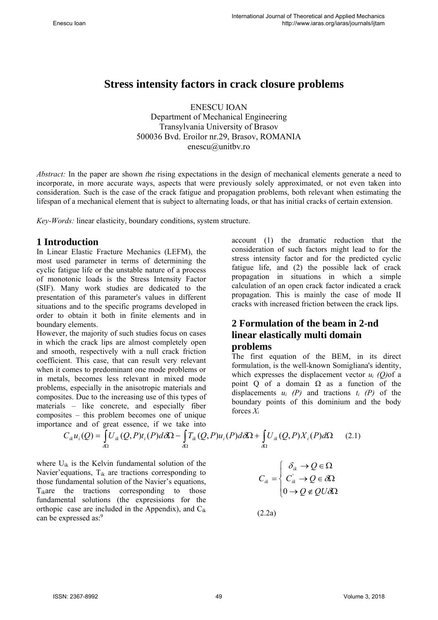# **Stress intensity factors in crack closure problems**

ENESCU IOAN Department of Mechanical Engineering Transylvania University of Brasov 500036 Bvd. Eroilor nr.29, Brasov, ROMANIA enescu@unitbv.ro

*Abstract:* In the paper are shown *t*he rising expectations in the design of mechanical elements generate a need to incorporate, in more accurate ways, aspects that were previously solely approximated, or not even taken into consideration. Such is the case of the crack fatigue and propagation problems, both relevant when estimating the lifespan of a mechanical element that is subject to alternating loads, or that has initial cracks of certain extension.

*Key-Words:* linear elasticity, boundary conditions, system structure.

## **1 Introduction**

In Linear Elastic Fracture Mechanics (LEFM), the most used parameter in terms of determining the cyclic fatigue life or the unstable nature of a process of monotonic loads is the Stress Intensity Factor (SIF). Many work studies are dedicated to the presentation of this parameter's values in different situations and to the specific programs developed in order to obtain it both in finite elements and in boundary elements.

However, the majority of such studies focus on cases in which the crack lips are almost completely open and smooth, respectively with a null crack friction coefficient. This case, that can result very relevant when it comes to predominant one mode problems or in metals, becomes less relevant in mixed mode problems, especially in the anisotropic materials and composites. Due to the increasing use of this types of materials – like concrete, and especially fiber composites – this problem becomes one of unique importance and of great essence, if we take into

account (1) the dramatic reduction that the consideration of such factors might lead to for the stress intensity factor and for the predicted cyclic fatigue life, and (2) the possible lack of crack propagation in situations in which a simple calculation of an open crack factor indicated a crack propagation. This is mainly the case of mode II cracks with increased friction between the crack lips.

# **2 Formulation of the beam in 2-nd linear elastically multi domain problems**

The first equation of the BEM, in its direct formulation, is the well-known Somigliana's identity, which expresses the displacement vector *ui (Q)*of a point Q of a domain  $\Omega$  as a function of the displacements  $u_i$  (P) and tractions  $t_i$  (P) of the boundary points of this dominium and the body forces *Xi*

$$
C_{ik}u_i(Q) = \int_{\partial\Omega} U_{ik}(Q, P)t_i(P)d\partial\Omega - \int_{\partial\Omega} T_{ik}(Q, P)u_i(P)d\partial\Omega + \int_{\partial\Omega} U_{ik}(Q, P)X_i(P)d\Omega \tag{2.1}
$$

where Uik is the Kelvin fundamental solution of the Navier' equations,  $T_{ik}$  are tractions corresponding to those fundamental solution of the Navier's equations, Tikare the tractions corresponding to those fundamental solutions (the expresisions for the orthopic case are included in the Appendix), and Cik can be expressed as:<sup>9</sup>

 $\overline{\mathcal{L}}$  $\vert$  $\left\{ \right.$  $\int$  $\rightarrow Q \notin QU\delta\Omega$  $\rightarrow Q \in \delta\Omega$  $\rightarrow Q \in \Omega$ =  $\partial$  $\partial$  $\delta$  $Q \notin QU$  $C_{ik}$   $\rightarrow$  Q *Q*  $C_{ik} = \left\{ C_{ik} \right\}$ *ik ik* 0  $Q'_k \to Q \in \delta \Omega$ 

(2.2a)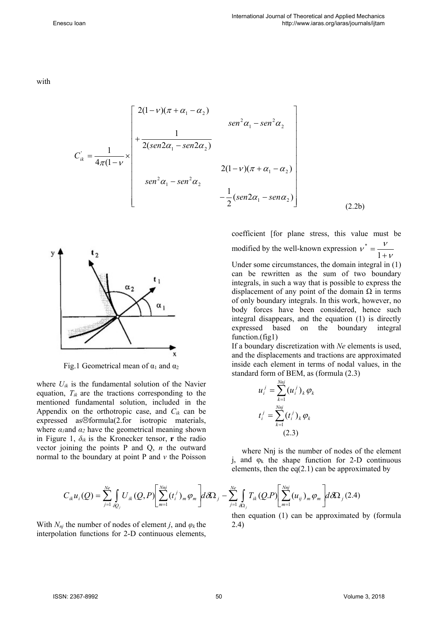with

$$
C_{ik}^{'} = \frac{1}{4\pi(1-\nu)} \times \begin{bmatrix} 2(1-\nu)(\pi+\alpha_1-\alpha_2) & \sec^2\alpha_1 - \sec^2\alpha_2 \\ + \frac{1}{2(\sec 2\alpha_1 - \sec 2\alpha_2)} & & \\ \sec^2\alpha_1 - \sec^2\alpha_2 & & \\ \sec^2\alpha_1 - \sec^2\alpha_2 & & \\ - \frac{1}{2}(\sec 2\alpha_1 - \sec 2\alpha_2) & \end{bmatrix}
$$



Fig.1 Geometrical mean of  $\alpha_1$  and  $\alpha_2$ 

where  $U_{ik}$  is the fundamental solution of the Navier equation,  $T_{ik}$  are the tractions corresponding to the mentioned fundamental solution, included in the Appendix on the orthotropic case, and *Cik* can be expressed as $\odot$ formula(2.for isotropic materials, where  $\alpha_1$ and  $\alpha_2$  have the geometrical meaning shown in Figure 1,  $\delta_{ik}$  is the Kronecker tensor, **r** the radio vector joining the points P and Q, *n* the outward normal to the boundary at point P and *v* the Poisson

coefficient [for plane stress, this value must be modified by the well-known expression  $v^* = \frac{v^*}{1+v^*}$  $v^* = \frac{v}{1+v^*}$ 

(2.2b)

Under some circumstances, the domain integral in (1) can be rewritten as the sum of two boundary integrals, in such a way that is possible to express the displacement of any point of the domain  $\Omega$  in terms of only boundary integrals. In this work, however, no body forces have been considered, hence such integral disappears, and the equation (1) is directly expressed based on the boundary integral function.(fig1)

If a boundary discretization with *Ne* elements is used, and the displacements and tractions are approximated inside each element in terms of nodal values, in the standard form of BEM, as (formula (2.3)

$$
u_i^j = \sum_{k=1}^{Nnj} (u_i^j)_k \varphi_k
$$
  

$$
t_i^j = \sum_{k=1}^{Nnj} (t_i^j)_k \varphi_k
$$
  
(2.3)

where Nnj is the number of nodes of the element j, and  $\varphi_k$  the shape function for 2-D continuous elements, then the eq(2.1) can be approximated by

$$
C_{ik}u_i(Q) = \sum_{j=1}^{Ne} \int_{\partial Q_j} U_{ik}(Q, P) \left[ \sum_{m=1}^{Nnj} (t_i^j)_m \varphi_m \right] d \partial \Omega_j - \sum_{j=1}^{Ne} \int_{\partial \Omega_j} T_{ik}(Q, P) \left[ \sum_{m=1}^{Nnj} (u_{ij})_m \varphi_m \right] d \partial \Omega_j (2.4)
$$

With  $N_{nj}$  the number of nodes of element *j*, and  $\varphi_k$  the interpolation functions for 2-D continuous elements,

then equation (1) can be approximated by (formula 2.4)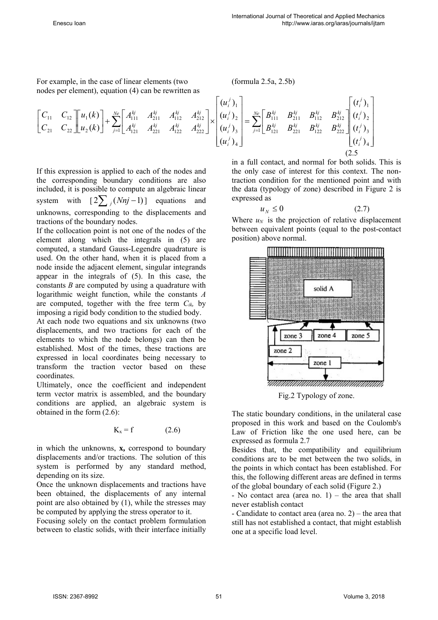For example, in the case of linear elements (two nodes per element), equation (4) can be rewritten as

(formula 2.5a, 2.5b)

$$
\begin{bmatrix} C_{11} & C_{12} \ C_{21} & C_{22} \end{bmatrix} \begin{bmatrix} u_1(k) \ u_2(k) \end{bmatrix} + \sum_{j=1}^{N_e} \begin{bmatrix} A_{111}^{kj} & A_{211}^{kj} & A_{112}^{kj} & A_{212}^{kj} \\ A_{121}^{kj} & A_{221}^{kj} & A_{222}^{kj} \end{bmatrix} \times \begin{bmatrix} (u_i^j)_1 \\ (u_i^j)_2 \\ (u_i^j)_3 \\ (u_i^j)_4 \end{bmatrix} = \sum_{j=1}^{N_e} \begin{bmatrix} B_{111}^{kj} & B_{211}^{kj} & B_{212}^{kj} \\ B_{121}^{kj} & B_{221}^{kj} & B_{222}^{kj} \\ B_{121}^{kj} & B_{221}^{kj} & B_{222}^{kj} \end{bmatrix} \begin{bmatrix} (t_i^j)_1 \\ (t_i^j)_2 \\ (t_i^j)_3 \\ (t_i^j)_4 \end{bmatrix}
$$
\n(2.5)

If this expression is applied to each of the nodes and the corresponding boundary conditions are also included, it is possible to compute an algebraic linear system with  $\left[2\sum_{i}(Nnj-1)\right]$  equations and unknowns, corresponding to the displacements and tractions of the boundary nodes.

If the collocation point is not one of the nodes of the element along which the integrals in (5) are computed, a standard Gauss-Legendre quadrature is used. On the other hand, when it is placed from a node inside the adjacent element, singular integrands appear in the integrals of (5). In this case, the constants *B* are computed by using a quadrature with logarithmic weight function, while the constants *A* are computed, together with the free term  $C_{ik}$ , by imposing a rigid body condition to the studied body.

At each node two equations and six unknowns (two displacements, and two tractions for each of the elements to which the node belongs) can then be established. Most of the times, these tractions are expressed in local coordinates being necessary to transform the traction vector based on these coordinates.

Ultimately, once the coefficient and independent term vector matrix is assembled, and the boundary conditions are applied, an algebraic system is obtained in the form (2.6):

$$
K_x = f \tag{2.6}
$$

in which the unknowns, **x,** correspond to boundary displacements and/or tractions. The solution of this system is performed by any standard method, depending on its size.

Once the unknown displacements and tractions have been obtained, the displacements of any internal point are also obtained by (1), while the stresses may be computed by applying the stress operator to it.

Focusing solely on the contact problem formulation between to elastic solids, with their interface initially

in a full contact, and normal for both solids. This is the only case of interest for this context. The nontraction condition for the mentioned point and with the data (typology of zone) described in Figure 2 is expressed as

$$
u_N \le 0 \tag{2.7}
$$

Where  $u_N$  is the projection of relative displacement between equivalent points (equal to the post-contact position) above normal.



Fig.2 Typology of zone.

The static boundary conditions, in the unilateral case proposed in this work and based on the Coulomb's Law of Friction like the one used here, can be expressed as formula 2.7

Besides that, the compatibility and equilibrium conditions are to be met between the two solids, in the points in which contact has been established. For this, the following different areas are defined in terms of the global boundary of each solid (Figure 2.)

- No contact area (area no.  $1$ ) – the area that shall never establish contact

- Candidate to contact area (area no. 2) – the area that still has not established a contact, that might establish one at a specific load level.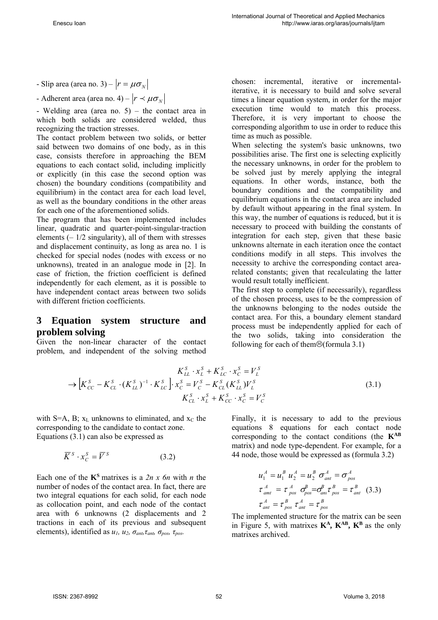- Slip area (area no. 3) –  $|r = \mu \sigma_N|$ 

- Adherent area (area no. 4) –  $|r \prec \mu \sigma_{N}|$ 

- Welding area (area no. 5) – the contact area in which both solids are considered welded, thus recognizing the traction stresses.

The contact problem between two solids, or better said between two domains of one body, as in this case, consists therefore in approaching the BEM equations to each contact solid, including implicitly or explicitly (in this case the second option was chosen) the boundary conditions (compatibility and equilibrium) in the contact area for each load level. as well as the boundary conditions in the other areas for each one of the aforementioned solids.

The program that has been implemented includes linear, quadratic and quarter-point-singular-traction elements  $(-1/2 \text{ singularity})$ , all of them with stresses and displacement continuity, as long as area no. 1 is checked for special nodes (nodes with excess or no unknowns), treated in an analogue mode in [2]. In case of friction, the friction coefficient is defined independently for each element, as it is possible to have independent contact areas between two solids with different friction coefficients.

#### **3 Equation system structure and problem solving**

Given the non-linear character of the contact problem, and independent of the solving method chosen: incremental, iterative or incrementaliterative, it is necessary to build and solve several times a linear equation system, in order for the major execution time would to match this process. Therefore, it is very important to choose the corresponding algorithm to use in order to reduce this time as much as possible.

When selecting the system's basic unknowns, two possibilities arise. The first one is selecting explicitly the necessary unknowns, in order for the problem to be solved just by merely applying the integral equations. In other words, instance, both the boundary conditions and the compatibility and equilibrium equations in the contact area are included by default without appearing in the final system. In this way, the number of equations is reduced, but it is necessary to proceed with building the constants of integration for each step, given that these basic unknowns alternate in each iteration once the contact conditions modify in all steps. This involves the necessity to archive the corresponding contact arearelated constants; given that recalculating the latter would result totally inefficient.

The first step to complete (if necessarily), regardless of the chosen process, uses to be the compression of the unknowns belonging to the nodes outside the contact area. For this, a boundary element standard process must be independently applied for each of the two solids, taking into consideration the following for each of them $\odot$ (formula 3.1)

$$
K_{LL}^{S} \tcdot x_{L}^{S} + K_{LC}^{S} \tcdot x_{C}^{S} = V_{L}^{S}
$$
  
\n
$$
\rightarrow [K_{CC}^{S} - K_{CL}^{S} \tcdot (K_{LL}^{S})^{-1} \tcdot K_{LC}^{S}] \tcdot x_{C}^{S} = V_{C}^{S} - K_{CL}^{S} (K_{LL}^{S}) V_{L}^{S}
$$
  
\n
$$
K_{CL}^{S} \tcdot x_{L}^{S} + K_{CC}^{S} \tcdot x_{C}^{S} = V_{C}^{S}
$$
  
\n(3.1)

with  $S=A$ , B;  $x_L$  unknowns to eliminated, and  $x_C$  the corresponding to the candidate to contact zone. Equations (3.1) can also be expressed as

$$
\overline{K}^S \cdot x_C^S = \overline{V}^S \tag{3.2}
$$

Each one of the **KS** matrixes is a *2n x 6n* with *n* the number of nodes of the contact area. In fact, there are two integral equations for each solid, for each node as collocation point, and each node of the contact area with 6 unknowns (2 displacements and 2 tractions in each of its previous and subsequent elements), identified as  $u_1$ ,  $u_2$ ,  $\sigma_{ant}$ ,  $\tau_{ant}$ ,  $\sigma_{pos}$ ,  $\tau_{pos}$ .

Finally, it is necessary to add to the previous equations 8 equations for each contact node corresponding to the contact conditions (the **KAB**  matrix) and node type-dependent. For example, for a 44 node, those would be expressed as (formula 3.2)

$$
u_1^A = u_1^B u_2^A = u_2^B \sigma_{ant}^A = \sigma_{pos}^A
$$
  
\n
$$
\tau_{amt}^A = \tau_{pos}^A \sigma_{pos}^B = \sigma_{am}^B \tau_{pos}^B = \tau_{ant}^B
$$
 (3.3)  
\n
$$
\tau_{ant}^A = \tau_{pos}^B \tau_{ant}^A = \tau_{pos}^B
$$

The implemented structure for the matrix can be seen in Figure 5, with matrixes  $K^A$ ,  $K^{AB}$ ,  $K^B$  as the only matrixes archived.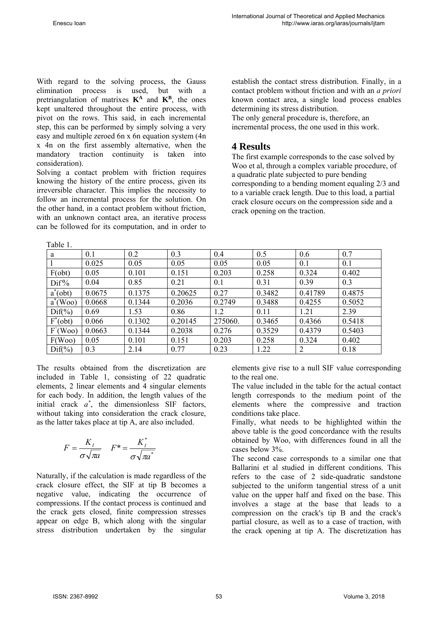Table 1.

With regard to the solving process, the Gauss elimination process is used, but with a pretriangulation of matrixes  $K^A$  and  $K^B$ , the ones kept unaltered throughout the entire process, with pivot on the rows. This said, in each incremental step, this can be performed by simply solving a very easy and multiple zeroed 6n x 6n equation system (4n x 4n on the first assembly alternative, when the mandatory traction continuity is taken into consideration).

Solving a contact problem with friction requires knowing the history of the entire process, given its irreversible character. This implies the necessity to follow an incremental process for the solution. On the other hand, in a contact problem without friction, with an unknown contact area, an iterative process can be followed for its computation, and in order to establish the contact stress distribution. Finally, in a contact problem without friction and with an *a priori*  known contact area, a single load process enables determining its stress distribution.

The only general procedure is, therefore, an incremental process, the one used in this work.

# **4 Results**

The first example corresponds to the case solved by Woo et al, through a complex variable procedure, of a quadratic plate subjected to pure bending corresponding to a bending moment equaling 2/3 and to a variable crack length. Due to this load, a partial crack closure occurs on the compression side and a crack opening on the traction.

| a                  | 0.1    | 0.2    | 0.3     | 0.4     | 0.5    | 0.6     | 0.7    |
|--------------------|--------|--------|---------|---------|--------|---------|--------|
|                    | 0.025  | 0.05   | 0.05    | 0.05    | 0.05   | 0.1     | 0.1    |
| $F(\text{obt})$    | 0.05   | 0.101  | 0.151   | 0.203   | 0.258  | 0.324   | 0.402  |
| $\mathrm{Dif\%}$   | 0.04   | 0.85   | 0.21    | 0.1     | 0.31   | 0.39    | 0.3    |
| $a^*(obt)$         | 0.0675 | 0.1375 | 0.20625 | 0.27    | 0.3482 | 0.41789 | 0.4875 |
| $a^*(Woo)$         | 0.0668 | 0.1344 | 0.2036  | 0.2749  | 0.3488 | 0.4255  | 0.5052 |
| $Diff(\%)$         | 0.69   | 1.53   | 0.86    | 1.2     | 0.11   | 1.21    | 2.39   |
| $F^*(obt)$         | 0.066  | 0.1302 | 0.20145 | 275060. | 0.3465 | 0.4366  | 0.5418 |
| F'(Woo)            | 0.0663 | 0.1344 | 0.2038  | 0.276   | 0.3529 | 0.4379  | 0.5403 |
| F(Woo)             | 0.05   | 0.101  | 0.151   | 0.203   | 0.258  | 0.324   | 0.402  |
| $\text{Diff}(\% )$ | 0.3    | 2.14   | 0.77    | 0.23    | 1.22   | 2       | 0.18   |

The results obtained from the discretization are included in Table 1, consisting of 22 quadratic elements, 2 linear elements and 4 singular elements for each body. In addition, the length values of the initial crack *a\** , the dimensionless SIF factors, without taking into consideration the crack closure, as the latter takes place at tip A, are also included.

$$
F = \frac{K_I}{\sigma \sqrt{\pi a}} \quad F^* = \frac{K_I^*}{\sigma \sqrt{\pi a^*}}
$$

Naturally, if the calculation is made regardless of the crack closure effect, the SIF at tip B becomes a negative value, indicating the occurrence of compressions. If the contact process is continued and the crack gets closed, finite compression stresses appear on edge B, which along with the singular stress distribution undertaken by the singular

elements give rise to a null SIF value corresponding to the real one.

The value included in the table for the actual contact length corresponds to the medium point of the elements where the compressive and traction conditions take place.

Finally, what needs to be highlighted within the above table is the good concordance with the results obtained by Woo, with differences found in all the cases below 3%.

The second case corresponds to a similar one that Ballarini et al studied in different conditions. This refers to the case of 2 side-quadratic sandstone subjected to the uniform tangential stress of a unit value on the upper half and fixed on the base. This involves a stage at the base that leads to a compression on the crack's tip B and the crack's partial closure, as well as to a case of traction, with the crack opening at tip A. The discretization has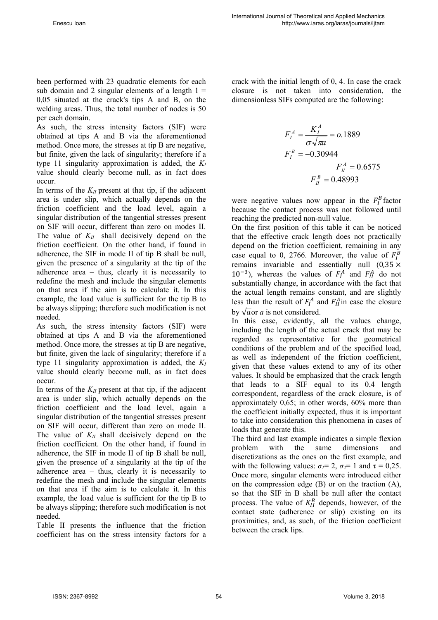been performed with 23 quadratic elements for each sub domain and 2 singular elements of a length  $1 =$ 0,05 situated at the crack's tips A and B, on the welding areas. Thus, the total number of nodes is 50 per each domain.

As such, the stress intensity factors (SIF) were obtained at tips A and B via the aforementioned method. Once more, the stresses at tip B are negative, but finite, given the lack of singularity; therefore if a type 11 singularity approximation is added, the  $K_I$ value should clearly become null, as in fact does occur.

In terms of the  $K_{II}$  present at that tip, if the adjacent area is under slip, which actually depends on the friction coefficient and the load level, again a singular distribution of the tangential stresses present on SIF will occur, different than zero on modes II. The value of  $K_{II}$  shall decisively depend on the friction coefficient. On the other hand, if found in adherence, the SIF in mode II of tip B shall be null, given the presence of a singularity at the tip of the adherence area – thus, clearly it is necessarily to redefine the mesh and include the singular elements on that area if the aim is to calculate it. In this example, the load value is sufficient for the tip B to be always slipping; therefore such modification is not needed.

As such, the stress intensity factors (SIF) were obtained at tips A and B via the aforementioned method. Once more, the stresses at tip B are negative, but finite, given the lack of singularity; therefore if a type 11 singularity approximation is added, the *KI*  value should clearly become null, as in fact does occur.

In terms of the  $K_{II}$  present at that tip, if the adjacent area is under slip, which actually depends on the friction coefficient and the load level, again a singular distribution of the tangential stresses present on SIF will occur, different than zero on mode II. The value of  $K_{II}$  shall decisively depend on the friction coefficient. On the other hand, if found in adherence, the SIF in mode II of tip B shall be null, given the presence of a singularity at the tip of the adherence area – thus, clearly it is necessarily to redefine the mesh and include the singular elements on that area if the aim is to calculate it. In this example, the load value is sufficient for the tip B to be always slipping; therefore such modification is not needed.

Table II presents the influence that the friction coefficient has on the stress intensity factors for a crack with the initial length of 0, 4. In case the crack closure is not taken into consideration, the dimensionless SIFs computed are the following:

$$
F_I^A = \frac{K_I^A}{\sigma \sqrt{\pi a}} = o.1889
$$
  

$$
F_I^B = -0.30944
$$
  

$$
F_{II}^A = 0.6575
$$
  

$$
F_{II}^B = 0.48993
$$

were negative values now appear in the  $F_I^B$  factor because the contact process was not followed until reaching the predicted non-null value.

On the first position of this table it can be noticed that the effective crack length does not practically depend on the friction coefficient, remaining in any case equal to 0, 2766. Moreover, the value of  $F_I^B$ remains invariable and essentially null  $(0,35 \times$  $10^{-3}$ ), whereas the values of  $F_I^A$  and  $F_{II}^A$  do not substantially change, in accordance with the fact that the actual length remains constant, and are slightly less than the result of  $F_I^A$  and  $F_{II}^A$  in case the closure by  $\sqrt{a}$  or *a* is not considered.

In this case, evidently, all the values change, including the length of the actual crack that may be regarded as representative for the geometrical conditions of the problem and of the specified load, as well as independent of the friction coefficient, given that these values extend to any of its other values. It should be emphasized that the crack length that leads to a SIF equal to its 0,4 length correspondent, regardless of the crack closure, is of approximately 0,65; in other words, 60% more than the coefficient initially expected, thus it is important to take into consideration this phenomena in cases of loads that generate this.

The third and last example indicates a simple flexion problem with the same dimensions and discretizations as the ones on the first example, and with the following values:  $\sigma_l = 2$ ,  $\sigma_2 = 1$  and  $\tau = 0.25$ . Once more, singular elements were introduced either on the compression edge (B) or on the traction (A), so that the SIF in B shall be null after the contact process. The value of  $K_I^B$  depends, however, of the contact state (adherence or slip) existing on its proximities, and, as such, of the friction coefficient between the crack lips.